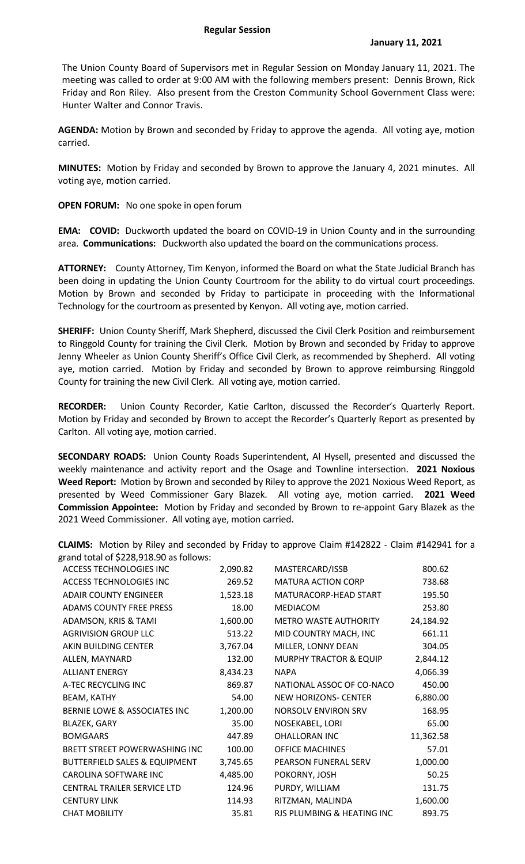The Union County Board of Supervisors met in Regular Session on Monday January 11, 2021. The meeting was called to order at 9:00 AM with the following members present: Dennis Brown, Rick Friday and Ron Riley. Also present from the Creston Community School Government Class were: Hunter Walter and Connor Travis.

**AGENDA:** Motion by Brown and seconded by Friday to approve the agenda. All voting aye, motion carried.

**MINUTES:** Motion by Friday and seconded by Brown to approve the January 4, 2021 minutes. All voting aye, motion carried.

**OPEN FORUM:** No one spoke in open forum

**EMA:** COVID: Duckworth updated the board on COVID-19 in Union County and in the surrounding area. **Communications:** Duckworth also updated the board on the communications process.

**ATTORNEY:** County Attorney, Tim Kenyon, informed the Board on what the State Judicial Branch has been doing in updating the Union County Courtroom for the ability to do virtual court proceedings. Motion by Brown and seconded by Friday to participate in proceeding with the Informational Technology for the courtroom as presented by Kenyon. All voting aye, motion carried.

**SHERIFF:** Union County Sheriff, Mark Shepherd, discussed the Civil Clerk Position and reimbursement to Ringgold County for training the Civil Clerk. Motion by Brown and seconded by Friday to approve Jenny Wheeler as Union County Sheriff's Office Civil Clerk, as recommended by Shepherd. All voting aye, motion carried. Motion by Friday and seconded by Brown to approve reimbursing Ringgold County for training the new Civil Clerk. All voting aye, motion carried.

**RECORDER:** Union County Recorder, Katie Carlton, discussed the Recorder's Quarterly Report. Motion by Friday and seconded by Brown to accept the Recorder's Quarterly Report as presented by Carlton. All voting aye, motion carried.

**SECONDARY ROADS:** Union County Roads Superintendent, Al Hysell, presented and discussed the weekly maintenance and activity report and the Osage and Townline intersection. **2021 Noxious Weed Report:** Motion by Brown and seconded by Riley to approve the 2021 Noxious Weed Report, as presented by Weed Commissioner Gary Blazek. All voting aye, motion carried. **2021 Weed Commission Appointee:** Motion by Friday and seconded by Brown to re-appoint Gary Blazek as the 2021 Weed Commissioner. All voting aye, motion carried.

**CLAIMS:** Motion by Riley and seconded by Friday to approve Claim #142822 - Claim #142941 for a grand total of \$228,918.90 as follows:

| ACCESS TECHNOLOGIES INC                  | 2,090.82 | MASTERCARD/ISSB                   | 800.62    |
|------------------------------------------|----------|-----------------------------------|-----------|
| ACCESS TECHNOLOGIES INC                  | 269.52   | <b>MATURA ACTION CORP</b>         | 738.68    |
| <b>ADAIR COUNTY ENGINEER</b>             | 1,523.18 | MATURACORP-HEAD START             | 195.50    |
| ADAMS COUNTY FREE PRESS                  | 18.00    | <b>MEDIACOM</b>                   | 253.80    |
| ADAMSON, KRIS & TAMI                     | 1,600.00 | <b>METRO WASTE AUTHORITY</b>      | 24,184.92 |
| <b>AGRIVISION GROUP LLC</b>              | 513.22   | MID COUNTRY MACH, INC             | 661.11    |
| AKIN BUILDING CENTER                     | 3,767.04 | MILLER, LONNY DEAN                | 304.05    |
| ALLEN, MAYNARD                           | 132.00   | <b>MURPHY TRACTOR &amp; EQUIP</b> | 2,844.12  |
| <b>ALLIANT ENERGY</b>                    | 8,434.23 | <b>NAPA</b>                       | 4,066.39  |
| A-TEC RECYCLING INC                      | 869.87   | NATIONAL ASSOC OF CO-NACO         | 450.00    |
| BEAM, KATHY                              | 54.00    | <b>NEW HORIZONS- CENTER</b>       | 6,880.00  |
| BERNIE LOWE & ASSOCIATES INC             | 1,200.00 | <b>NORSOLV ENVIRON SRV</b>        | 168.95    |
| <b>BLAZEK, GARY</b>                      | 35.00    | NOSEKABEL, LORI                   | 65.00     |
| <b>BOMGAARS</b>                          | 447.89   | <b>OHALLORAN INC</b>              | 11,362.58 |
| BRETT STREET POWERWASHING INC            | 100.00   | <b>OFFICE MACHINES</b>            | 57.01     |
| <b>BUTTERFIELD SALES &amp; EQUIPMENT</b> | 3,745.65 | PEARSON FUNERAL SERV              | 1,000.00  |
| CAROLINA SOFTWARE INC                    | 4,485.00 | POKORNY, JOSH                     | 50.25     |
| CENTRAL TRAILER SERVICE LTD              | 124.96   | PURDY, WILLIAM                    | 131.75    |
| <b>CENTURY LINK</b>                      | 114.93   | RITZMAN, MALINDA                  | 1,600.00  |
| <b>CHAT MOBILITY</b>                     | 35.81    | RJS PLUMBING & HEATING INC        | 893.75    |